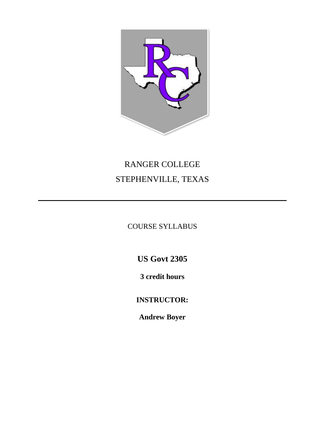

# RANGER COLLEGE STEPHENVILLE, TEXAS

COURSE SYLLABUS

**US Govt 2305**

**3 credit hours**

**INSTRUCTOR:**

**Andrew Boyer**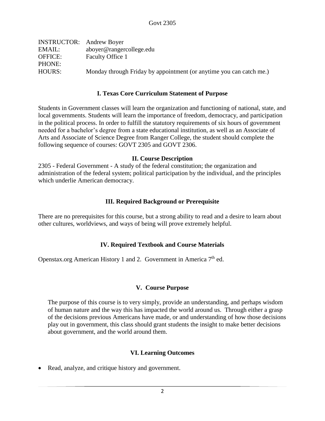| <b>INSTRUCTOR:</b> Andrew Boyer |                                                                     |
|---------------------------------|---------------------------------------------------------------------|
| EMAIL:                          | aboyer@rangercollege.edu                                            |
| <b>OFFICE:</b>                  | Faculty Office 1                                                    |
| PHONE:                          |                                                                     |
| HOURS:                          | Monday through Friday by appointment (or anytime you can catch me.) |
|                                 |                                                                     |

#### **I. Texas Core Curriculum Statement of Purpose**

Students in Government classes will learn the organization and functioning of national, state, and local governments. Students will learn the importance of freedom, democracy, and participation in the political process. In order to fulfill the statutory requirements of six hours of government needed for a bachelor's degree from a state educational institution, as well as an Associate of Arts and Associate of Science Degree from Ranger College, the student should complete the following sequence of courses: GOVT 2305 and GOVT 2306.

#### **II. Course Description**

2305 - Federal Government - A study of the federal constitution; the organization and administration of the federal system; political participation by the individual, and the principles which underlie American democracy.

## **III. Required Background or Prerequisite**

There are no prerequisites for this course, but a strong ability to read and a desire to learn about other cultures, worldviews, and ways of being will prove extremely helpful.

## **IV. Required Textbook and Course Materials**

Openstax.org American History 1 and 2. Government in America  $7<sup>th</sup>$  ed.

## **V. Course Purpose**

The purpose of this course is to very simply, provide an understanding, and perhaps wisdom of human nature and the way this has impacted the world around us. Through either a grasp of the decisions previous Americans have made, or and understanding of how those decisions play out in government, this class should grant students the insight to make better decisions about government, and the world around them.

## **VI. Learning Outcomes**

• Read, analyze, and critique history and government.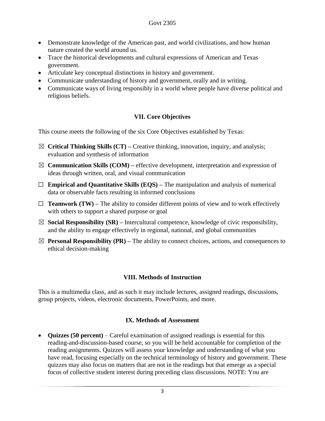- Demonstrate knowledge of the American past, and world civilizations, and how human nature created the world around us.
- Trace the historical developments and cultural expressions of American and Texas government.
- Articulate key conceptual distinctions in history and government.
- Communicate understanding of history and government, orally and in writing.
- Communicate ways of living responsibly in a world where people have diverse political and religious beliefs.

# **VII. Core Objectives**

This course meets the following of the six Core Objectives established by Texas:

- ☒ **Critical Thinking Skills (CT) –** Creative thinking, innovation, inquiry, and analysis; evaluation and synthesis of information
- $\boxtimes$  **Communication Skills (COM)** effective development, interpretation and expression of ideas through written, oral, and visual communication
- ☐ **Empirical and Quantitative Skills (EQS) –** The manipulation and analysis of numerical data or observable facts resulting in informed conclusions
- $\Box$  **Teamwork (TW)** The ability to consider different points of view and to work effectively with others to support a shared purpose or goal
- $\boxtimes$  **Social Responsibility (SR)** Intercultural competence, knowledge of civic responsibility, and the ability to engage effectively in regional, national, and global communities
- $\boxtimes$  **Personal Responsibility (PR)** The ability to connect choices, actions, and consequences to ethical decision-making

# **VIII. Methods of Instruction**

This is a multimedia class, and as such it may include lectures, assigned readings, discussions, group projects, videos, electronic documents, PowerPoints, and more.

# **IX. Methods of Assessment**

• **Quizzes (50 percent)** – Careful examination of assigned readings is essential for this reading-and-discussion-based course, so you will be held accountable for completion of the reading assignments. Quizzes will assess your knowledge and understanding of what you have read, focusing especially on the technical terminology of history and government. These quizzes may also focus on matters that are not in the readings but that emerge as a special focus of collective student interest during preceding class discussions. NOTE: You are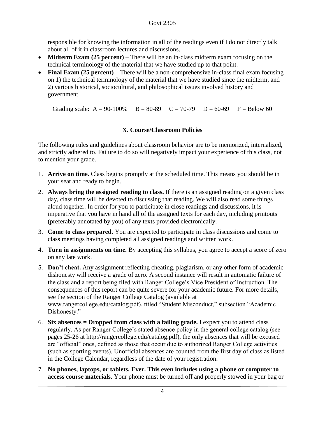responsible for knowing the information in all of the readings even if I do not directly talk about all of it in classroom lectures and discussions.

- **Midterm Exam (25 percent)** There will be an in-class midterm exam focusing on the technical terminology of the material that we have studied up to that point.
- **Final Exam (25 percent)** There will be a non-comprehensive in-class final exam focusing on 1) the technical terminology of the material that we have studied since the midterm, and 2) various historical, sociocultural, and philosophical issues involved history and government.

Grading scale:  $A = 90-100\%$   $B = 80-89$   $C = 70-79$   $D = 60-69$   $F = Below 60$ 

# **X. Course/Classroom Policies**

The following rules and guidelines about classroom behavior are to be memorized, internalized, and strictly adhered to. Failure to do so will negatively impact your experience of this class, not to mention your grade.

- 1. **Arrive on time.** Class begins promptly at the scheduled time. This means you should be in your seat and ready to begin.
- 2. **Always bring the assigned reading to class.** If there is an assigned reading on a given class day, class time will be devoted to discussing that reading. We will also read some things aloud together. In order for you to participate in close readings and discussions, it is imperative that you have in hand all of the assigned texts for each day, including printouts (preferably annotated by you) of any texts provided electronically.
- 3. **Come to class prepared.** You are expected to participate in class discussions and come to class meetings having completed all assigned readings and written work.
- 4. **Turn in assignments on time.** By accepting this syllabus, you agree to accept a score of zero on any late work.
- 5. **Don't cheat.** Any assignment reflecting cheating, plagiarism, or any other form of academic dishonesty will receive a grade of zero. A second instance will result in automatic failure of the class and a report being filed with Ranger College's Vice President of Instruction. The consequences of this report can be quite severe for your academic future. For more details, see the section of the Ranger College Catalog (available at www.rangercollege.edu/catalog.pdf), titled "Student Misconduct," subsection "Academic Dishonesty."
- 6. **Six absences = Dropped from class with a failing grade.** I expect you to attend class regularly. As per Ranger College's stated absence policy in the general college catalog (see pages 25-26 at http://rangercollege.edu/catalog.pdf), the only absences that will be excused are "official" ones, defined as those that occur due to authorized Ranger College activities (such as sporting events). Unofficial absences are counted from the first day of class as listed in the College Calendar, regardless of the date of your registration.
- 7. **No phones, laptops, or tablets. Ever. This even includes using a phone or computer to access course materials**. Your phone must be turned off and properly stowed in your bag or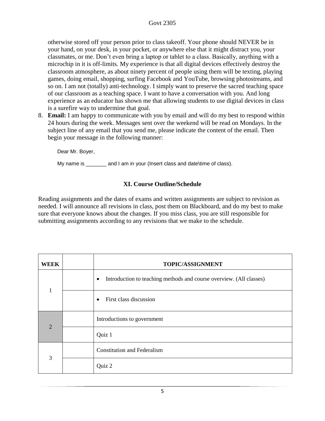## Govt 2305

otherwise stored off your person prior to class takeoff. Your phone should NEVER be in your hand, on your desk, in your pocket, or anywhere else that it might distract you, your classmates, or me. Don't even bring a laptop or tablet to a class. Basically, anything with a microchip in it is off-limits. My experience is that all digital devices effectively destroy the classroom atmosphere, as about ninety percent of people using them will be texting, playing games, doing email, shopping, surfing Facebook and YouTube, browsing photostreams, and so on. I am not (totally) anti-technology. I simply want to preserve the sacred teaching space of our classroom as a teaching space. I want to have a conversation with you. And long experience as an educator has shown me that allowing students to use digital devices in class is a surefire way to undermine that goal.

8. **Email:** I am happy to communicate with you by email and will do my best to respond within 24 hours during the week. Messages sent over the weekend will be read on Mondays. In the subject line of any email that you send me, please indicate the content of the email. Then begin your message in the following manner:

Dear Mr. Boyer,

My name is \_\_\_\_\_\_\_ and I am in your (Insert class and date\time of class).

# **XI. Course Outline/Schedule**

Reading assignments and the dates of exams and written assignments are subject to revision as needed. I will announce all revisions in class, post them on Blackboard, and do my best to make sure that everyone knows about the changes. If you miss class, you are still responsible for submitting assignments according to any revisions that we make to the schedule.

| <b>WEEK</b>    | TOPIC/ASSIGNMENT                                                                 |
|----------------|----------------------------------------------------------------------------------|
| $\mathbf{1}$   | Introduction to teaching methods and course overview. (All classes)<br>$\bullet$ |
|                | First class discussion<br>$\bullet$                                              |
| $\overline{2}$ | Introductions to government                                                      |
|                | Quiz 1                                                                           |
| 3              | <b>Constitution and Federalism</b>                                               |
|                | Quiz 2                                                                           |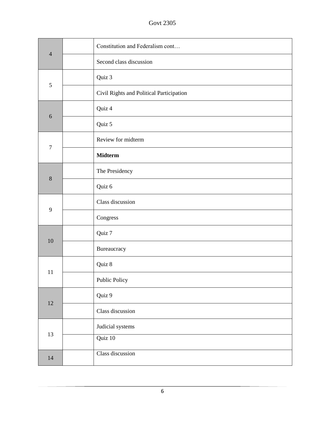Govt 2305

| $\overline{4}$ | Constitution and Federalism cont         |
|----------------|------------------------------------------|
|                | Second class discussion                  |
| 5              | Quiz 3                                   |
|                | Civil Rights and Political Participation |
| 6              | Quiz 4                                   |
|                | Quiz 5                                   |
| $\tau$         | Review for midterm                       |
|                | <b>Midterm</b>                           |
|                | The Presidency                           |
| 8              | Quiz 6                                   |
|                | Class discussion                         |
| $\mathbf{9}$   | Congress                                 |
|                | Quiz 7                                   |
| 10             | Bureaucracy                              |
| 11             | Quiz 8                                   |
|                | Public Policy                            |
| 12             | Quiz 9                                   |
|                | Class discussion                         |
| 13             | Judicial systems                         |
|                | Quiz 10                                  |
| 14             | Class discussion                         |